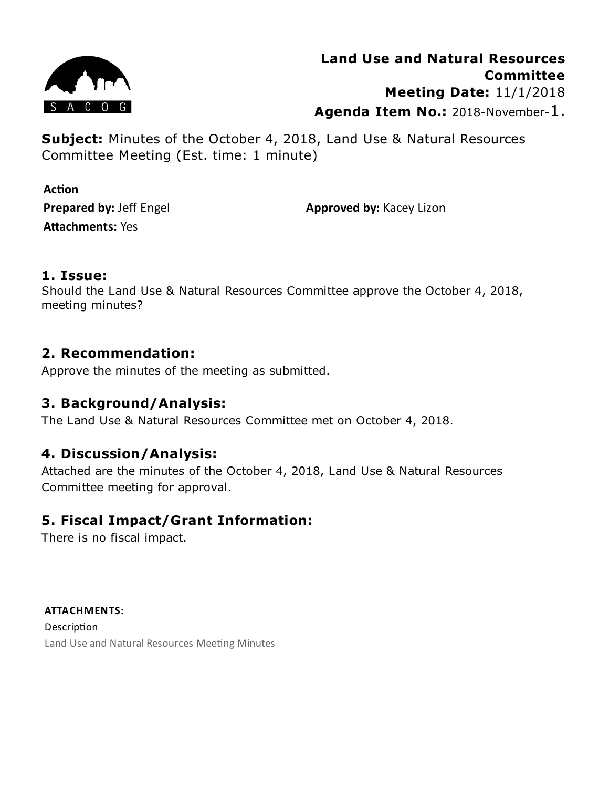

**Subject:** Minutes of the October 4, 2018, Land Use & Natural Resources Committee Meeting (Est. time: 1 minute)

**Action Prepared by:** Jeff Engel **Attachments: Yes** 

**Approved by:** Kacey Lizon

## **1. Issue:**

Should the Land Use & Natural Resources Committee approve the October 4, 2018, meeting minutes?

# **2. Recommendation:**

Approve the minutes of the meeting as submitted.

# **3. Background/Analysis:**

The Land Use & Natural Resources Committee met on October 4, 2018.

# **4. Discussion/Analysis:**

Attached are the minutes of the October 4, 2018, Land Use & Natural Resources Committee meeting for approval.

# **5. Fiscal Impact/Grant Information:**

There is no fiscal impact.

**ATTACHMENTS:** Description Land Use and Natural Resources Meeting Minutes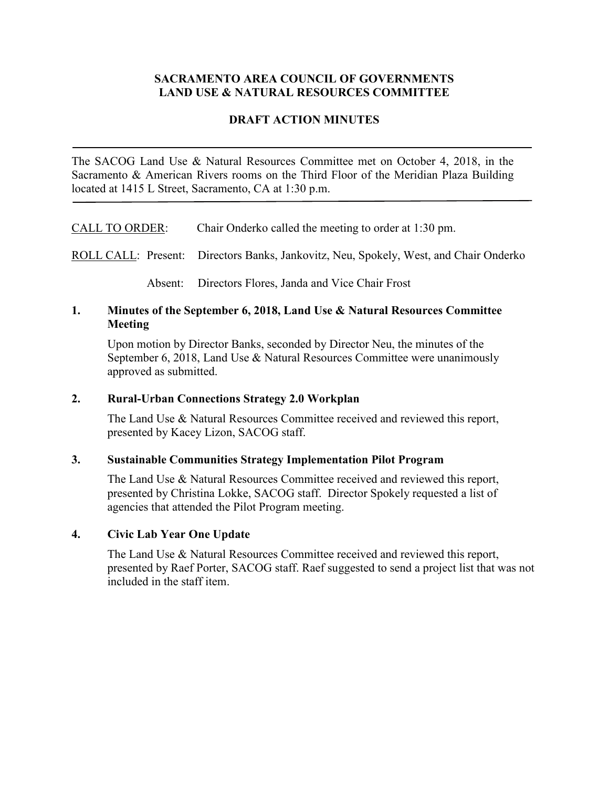### **SACRAMENTO AREA COUNCIL OF GOVERNMENTS LAND USE & NATURAL RESOURCES COMMITTEE**

### **DRAFT ACTION MINUTES**

The SACOG Land Use & Natural Resources Committee met on October 4, 2018, in the Sacramento & American Rivers rooms on the Third Floor of the Meridian Plaza Building located at 1415 L Street, Sacramento, CA at 1:30 p.m.

CALL TO ORDER: Chair Onderko called the meeting to order at 1:30 pm.

ROLL CALL: Present: Directors Banks, Jankovitz, Neu, Spokely, West, and Chair Onderko

Absent: Directors Flores, Janda and Vice Chair Frost

#### **1. Minutes of the September 6, 2018, Land Use & Natural Resources Committee Meeting**

Upon motion by Director Banks, seconded by Director Neu, the minutes of the September 6, 2018, Land Use & Natural Resources Committee were unanimously approved as submitted.

#### **2. Rural-Urban Connections Strategy 2.0 Workplan**

The Land Use & Natural Resources Committee received and reviewed this report, presented by Kacey Lizon, SACOG staff.

#### **3. Sustainable Communities Strategy Implementation Pilot Program**

The Land Use & Natural Resources Committee received and reviewed this report, presented by Christina Lokke, SACOG staff. Director Spokely requested a list of agencies that attended the Pilot Program meeting.

#### **4. Civic Lab Year One Update**

The Land Use & Natural Resources Committee received and reviewed this report, presented by Raef Porter, SACOG staff. Raef suggested to send a project list that was not included in the staff item.